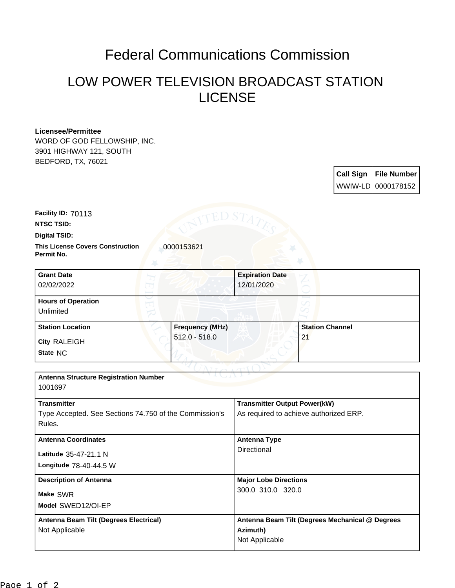## Federal Communications Commission

## LOW POWER TELEVISION BROADCAST STATION LICENSE

## **Licensee/Permittee**

WORD OF GOD FELLOWSHIP, INC. 3901 HIGHWAY 121, SOUTH BEDFORD, TX, 76021

> **Call Sign File Number** WWIW-LD 0000178152

**Facility ID:** 70113

**NTSC TSID:**

**Digital TSID:**

**This License Covers Construction**  0000153621 **Permit No.**

**State** NC **City** RALEIGH **Grant Date** 02/02/2022 **Expiration Date** 12/01/2020 **Hours of Operation** Unlimited **Station Location Frequency (MHz)** 512.0 - 518.0 **Station Channel** 21

| <b>Antenna Structure Registration Number</b><br>1001697 |                                                 |
|---------------------------------------------------------|-------------------------------------------------|
|                                                         |                                                 |
| <b>Transmitter</b>                                      | <b>Transmitter Output Power(kW)</b>             |
| Type Accepted. See Sections 74.750 of the Commission's  | As required to achieve authorized ERP.          |
| Rules.                                                  |                                                 |
| <b>Antenna Coordinates</b>                              | Antenna Type                                    |
| Latitude 35-47-21.1 N                                   | Directional                                     |
| Longitude 78-40-44.5 W                                  |                                                 |
| <b>Description of Antenna</b>                           | <b>Major Lobe Directions</b>                    |
| Make SWR                                                | 300.0 310.0 320.0                               |
| Model SWED12/OI-EP                                      |                                                 |
| Antenna Beam Tilt (Degrees Electrical)                  | Antenna Beam Tilt (Degrees Mechanical @ Degrees |
| Not Applicable                                          | Azimuth)                                        |
|                                                         | Not Applicable                                  |